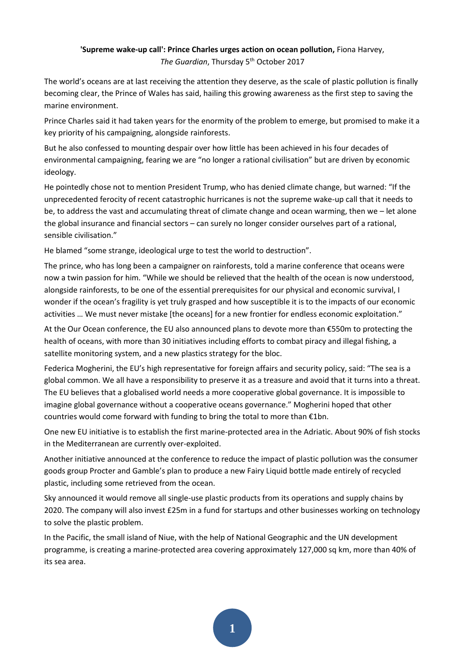## **'Supreme wake-up call': Prince Charles urges action on ocean pollution,** Fiona Harvey,

*The Guardian*, Thursday 5<sup>th</sup> October 2017

The world's [oceans](https://www.theguardian.com/environment/oceans) are at last receiving the attention they deserve, as the scale of [plastic pollution](https://www.theguardian.com/environment/plastic) is finally becoming clear, the Prince of Wales has said, hailing this growing awareness as the first step to saving the marine environment.

Prince Charles said it had taken years for the enormity of the problem to emerge, but promised to make it a key priority of his campaigning, alongside rainforests.

But he also confessed to mounting despair over how little has been achieved in his four decades of environmental campaigning, fearing we are "no longer a rational civilisation" but are driven by economic ideology.

He pointedly chose not to mention [President Trump](https://www.theguardian.com/us-news/live/2017/sep/11/the-politics-minute-hurricane-irma-aid-trump), who has denied climate change, but warned: "If the unprecedented ferocity of [recent catastrophic hurricanes](https://www.theguardian.com/world/2017/sep/01/hurricane-harvey-us-billion-dollar-weather-disasters-2017) is not the [supreme wake-up call](https://www.theguardian.com/world/2017/sep/10/hurricane-irma-harvey-climate-change-trump) that it needs to be, to address the vast and accumulating threat of climate change and ocean warming, then we – let alone the global insurance and financial sectors – can surely no longer consider ourselves part of a rational, sensible civilisation."

He blamed "some strange, ideological urge to test the world to destruction".

The prince, who has [long been a campaigner on rainforests,](https://www.theguardian.com/environment/2015/oct/29/prince-charles-calls-for-focus-on-deforestation-ahead-of-paris-climate-talks) told a marine conference that oceans were now a twin passion for him. "While we should be relieved that the health of the ocean is now understood, alongside rainforests, to be one of the essential prerequisites for our physical and economic survival, I wonder if the ocean's fragility is yet truly grasped and how susceptible it is to the impacts of our economic activities … We must never mistake [the oceans] for a new frontier for endless economic exploitation."

At the [Our Ocean conference](https://ourocean2017.org/), the EU also announced plans to devote more than €550m to protecting the health of oceans, with more than 30 initiatives including efforts to combat piracy and illegal fishing, a satellite monitoring system, and a new plastics strategy for the bloc.

Federica Mogherini, the EU's high representative for foreign affairs and security policy, said: "The sea is a global common. We all have a responsibility to preserve it as a treasure and avoid that it turns into a threat. The EU believes that a globalised world needs a more cooperative global governance. It is impossible to imagine global governance without a cooperative oceans governance." Mogherini hoped that other countries would come forward with funding to bring the total to more than €1bn.

One new EU initiative is to establish the first marine-protected area in the Adriatic. About 90% of fish stocks in the Mediterranean are currently over-exploited.

Another initiative announced at the conference to reduce [the impact of plastic pollution](https://www.theguardian.com/environment/2017/jun/28/uk-risks-becoming-dumping-ground-for-plastic-after-brexit) was the consumer goods group Procter and Gamble's plan to produce a new Fairy Liquid bottle made entirely of recycled plastic, including some retrieved from the ocean.

Sky announced it would remove all single-use plastic products from its operations and supply chains by 2020. The company will also invest £25m in a fund for startups and other businesses working on technology to solve the plastic problem.

In the Pacific, the small island of Niue, with the help of National Geographic and the UN development programme, is creating a marine-protected area covering approximately 127,000 sq km, more than 40% of its sea area.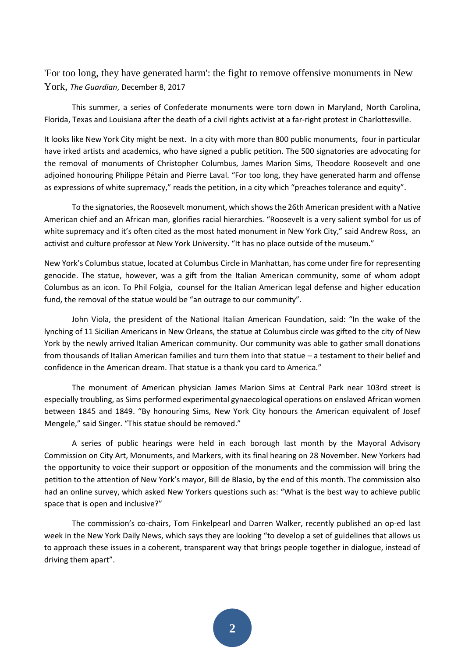'For too long, they have generated harm': the fight to remove offensive monuments in New York, *The Guardian*, December 8, 2017

This summer, a series of [Confederate monuments were torn down](https://www.theguardian.com/us-news/2017/aug/16/baltimore-takes-down-confederate-statues-in-middle-of-night) in Maryland, North Carolina, Florida, Texas an[d Louisiana](https://www.theguardian.com/us-news/gallery/2017/aug/15/confederate-statues-removed-across-southern-us-states-in-pictures) after th[e death of a civil rights activist](https://www.theguardian.com/us-news/2017/aug/12/virginia-unite-the-right-rally-protest-violence) at a far-right protest in Charlottesville.

It looks like New York City might be next. In a city with more than 800 public monuments, four in particular have irked artists and academics, who have signed a public petition. The 500 signatories are advocating for the removal of monuments of Christopher Columbus, James Marion Sims, Theodore Roosevelt and one adjoined honouring Philippe Pétain and Pierre Laval. "For too long, they have generated harm and offense as expressions of white supremacy," reads the petition, in a city which "preaches tolerance and equity".

To the signatories, the Roosevelt monument, which shows the 26th American president with a Native American chief and an African man, glorifies racial hierarchies. "Roosevelt is a very salient symbol for us of white supremacy and it's often cited as the most hated monument in New York City," said Andrew Ross, an activist and culture professor at New York University. "It has no place outside of the museum."

New York's Columbus statue, located at Columbus Circle in Manhattan, has come under fire for representing genocide. The statue, however, was a gift from the Italian American community, some of whom adopt Columbus as an icon. To Phil Folgia, counsel for the Italian American legal defense and higher education fund, the removal of the statue would be "an outrage to our community".

John Viola, the president of the National Italian American Foundation, said: "In the wake of the lynching of 11 Sicilian Americans in New Orleans, the statue at Columbus circle was gifted to the city of New York by the newly arrived Italian American community. Our community was able to gather small donations from thousands of Italian American families and turn them into that statue – a testament to their belief and confidence in the American dream. That statue is a thank you card to America."

The monument of American physician James Marion Sims at Central Park near 103rd street is especially troubling, as Sims performed experimental gynaecological operations on enslaved African women between 1845 and 1849. "By honouring Sims, New York City honours the American equivalent of Josef Mengele," said Singer. "This statue should be removed."

A series of public hearings were held in each borough last month by the [Mayoral Advisory](http://nyc.gov/monumentscommission)  [Commission on City Art, Monuments, and Markers,](http://nyc.gov/monumentscommission) with its final hearing on 28 November. New Yorkers had the opportunity to voice their support or opposition of the monuments and the commission will bring the petition to the attention of New York's mayor, Bill de Blasio, by the end of this month. The commission also had an [online survey](http://www1.nyc.gov/site/monuments/survey/monuments-survey.page), which asked New Yorkers questions such as: "What is the best way to achieve public space that is open and inclusive?"

The commission's co-chairs, Tom Finkelpearl and Darren Walker, recently published an op-ed last week in the New York Daily News, which says they are looking "to develop a set of guidelines that allows us to approach these issues in a coherent, transparent way that brings people together in dialogue, instead of driving them apart".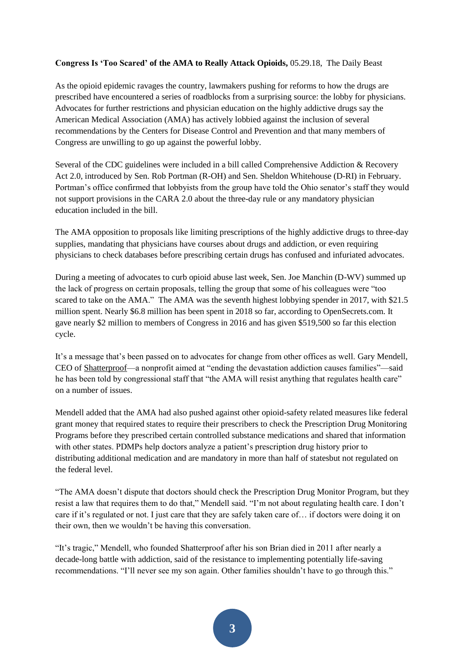#### **Congress Is 'Too Scared' of the AMA to Really Attack Opioids,** 05.29.18, The Daily Beast

As the opioid epidemic ravages the country, lawmakers pushing for reforms to how the drugs are prescribed have encountered a series of roadblocks from a surprising source: the lobby for physicians. Advocates for further restrictions and physician education on the highly addictive drugs say the American Medical Association (AMA) has actively lobbied against the inclusion of several recommendations by the Centers for Disease Control and Prevention and that many members of Congress are unwilling to go up against the powerful lobby.

Several of the CDC guidelines were included in a bill called Comprehensive Addiction & Recovery Act 2.0, introduced by Sen. Rob Portman (R-OH) and Sen. Sheldon Whitehouse (D-RI) in February. Portman's office confirmed that lobbyists from the group have told the Ohio senator's staff they would not support provisions in the CARA 2.0 about the three-day rule or any mandatory physician education included in the bill.

The AMA opposition to proposals like limiting prescriptions of the highly addictive drugs to three-day supplies, mandating that physicians have courses about drugs and addiction, or even requiring physicians to check databases before prescribing certain drugs has confused and infuriated advocates.

During a meeting of advocates to curb opioid abuse last week, Sen. Joe Manchin (D-WV) summed up the lack of progress on certain proposals, telling the group that some of his colleagues were "too scared to take on the AMA." The AMA was the seventh highest lobbying spender in 2017, with \$21.5 million spent. Nearly \$6.8 million has been spent in 2018 so far, according to OpenSecrets.com. It gave nearly \$2 million to members of Congress in 2016 and has given \$519,500 so far this election cycle.

It's a message that's been passed on to advocates for change from other offices as well. Gary Mendell, CEO of [Shatterproof—](https://www.shatterproof.org/)a nonprofit aimed at "ending the devastation addiction causes families"—said he has been told by congressional staff that "the AMA will resist anything that regulates health care" on a number of issues.

Mendell added that the AMA had also pushed against other opioid-safety related measures like federal grant money that required states to require their prescribers to check the [Prescription Drug Monitoring](https://www.cdc.gov/drugoverdose/pdmp/states.html)  [Programs](https://www.cdc.gov/drugoverdose/pdmp/states.html) before they prescribed certain controlled substance medications and shared that information with other states. PDMPs help doctors analyze a patient's prescription drug history prior to distributing additional medication and are mandatory in more than half of statesbut not regulated on the federal level.

"The AMA doesn't dispute that doctors should check the Prescription Drug Monitor Program, but they resist a law that requires them to do that," Mendell said. "I'm not about regulating health care. I don't care if it's regulated or not. I just care that they are safely taken care of… if doctors were doing it on their own, then we wouldn't be having this conversation.

"It's tragic," Mendell, who founded Shatterproof after his son Brian died in 2011 after nearly a decade-long battle with addiction, said of the resistance to implementing potentially life-saving recommendations. "I'll never see my son again. Other families shouldn't have to go through this."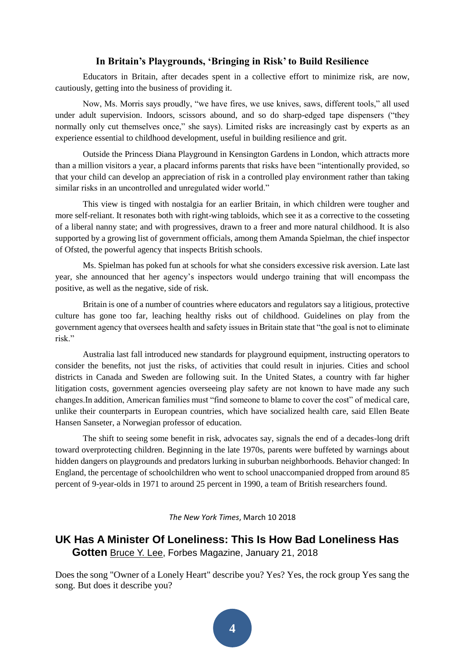#### **In Britain's Playgrounds, 'Bringing in Risk' to Build Resilience**

Educators in Britain, after decades spent in a collective effort to minimize risk, are now, cautiously, getting into the business of providing it.

Now, Ms. Morris says proudly, "we have fires, we use knives, saws, different tools," all used under adult supervision. Indoors, scissors abound, and so do sharp-edged tape dispensers ("they normally only cut themselves once," she says). Limited risks are increasingly cast by experts as an [experience essential to childhood development,](https://www.theatlantic.com/magazine/archive/2014/04/hey-parents-leave-those-kids-alone/358631/) useful in building resilience and grit.

Outside the Princess Diana Playground in Kensington Gardens in London, which attracts more than a million visitors a year, a placard informs parents that risks have been "intentionally provided, so that your child can develop an appreciation of risk in a controlled play environment rather than taking similar risks in an uncontrolled and unregulated wider world."

This view is tinged with nostalgia for an earlier Britain, in which children were tougher and more self-reliant. It resonates both with right-wing tabloids, which see it as a corrective to the cosseting of a liberal nanny state; and with progressives, drawn to a freer and more natural childhood. It is also supported by a growing list of government officials, among them Amanda Spielman, the chief inspector of Ofsted, the powerful agency that inspects British schools.

Ms. Spielman has poked fun at schools for what she considers excessive risk aversion. Late last year, she [announced](https://www.google.co.uk/search?q=amanda+spielman+and+nursery+world&oq=amanda+spielman+and+nursery+world&aqs=chrome..69i57j69i59.8102j0j4&sourceid=chrome&ie=UTF-8) that her agency's inspectors would undergo training that will encompass the positive, as well as the negative, side of risk.

Britain is one of a number of countries where educators and regulators say a litigious, protective culture [has gone too far,](https://rethinkingchildhood.com/2012/03/07/playground-safety/) leaching [healthy risks](https://www.theguardian.com/education/2008/aug/03/schools.children) out of childhood. [Guidelines on play](http://www.hse.gov.uk/entertainment/childs-play-statement.htm) from the government agency that oversees health and safety issues in Britain state that "the goal is not to eliminate risk."

Australia last fall introduced [new standards](https://www.ipwea.org/blogs/intouch/2017/12/11/risky-business-standard-opens-doors-to-new-playground-opportunities) for playground equipment, instructing operators to consider the [benefits, not just the risks,](https://www.ipwea.org/blogs/intouch/2017/10/17/no-more-cotton-wool-kids-new-standard-gives-councils-license-to-provide-risky-playgrounds) of activities that could result in injuries. Cities and school districts in [Canada](http://www.delta-optimist.com/news/putting-some-risk-back-in-play-1.2195729) and Sweden are following suit. In the United States, a country with far higher litigation costs, government agencies overseeing play safety are not known to have made any such changes.In addition, American families must "find someone to blame to cover the cost" of medical care, unlike their counterparts in European countries, which have socialized health care, said Ellen Beate Hansen Sanseter, a Norwegian professor of education.

The shift to seeing some benefit in risk, advocates say, signals the end of a decades-long drift toward overprotecting children. Beginning in the late 1970s, parents were buffeted by warnings about hidden dangers on playgrounds and predators lurking in suburban neighborhoods. Behavior changed: In England, the [percentage of schoolchildren who went to school unaccompanied](http://john-adams.co.uk/wp-content/uploads/2007/11/one%20false%20move.pdf) dropped from around 85 percent of 9-year-olds in 1971 to around 25 percent in 1990, a team of British researchers found.

*The New York Times*, March 10 2018

### **UK Has A Minister Of Loneliness: This Is How Bad Loneliness Has Gotten** [Bruce Y. Lee,](https://www.forbes.com/sites/brucelee/) Forbes Magazine, January 21, 2018

Does the song "Owner of a Lonely Heart" describe you? Yes? Yes, the rock group Yes sang the song. But does it describe you?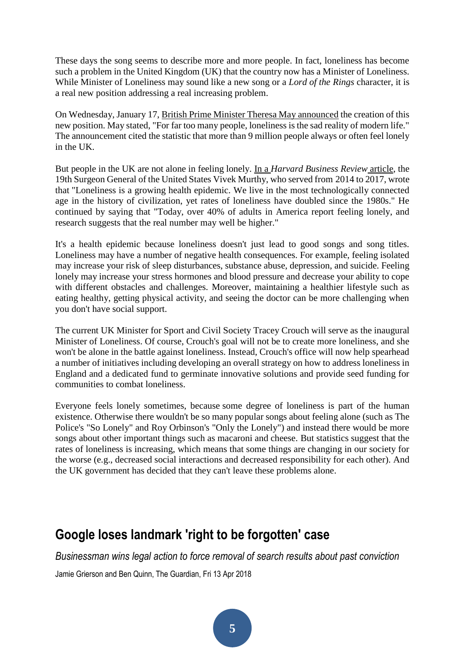These days the song seems to describe more and more people. In fact, loneliness has become such a problem in the United Kingdom (UK) that the country now has a Minister of Loneliness. While Minister of Loneliness may sound like a new song or a *Lord of the Rings* character, it is a real new position addressing a real increasing problem.

On Wednesday, January 17, [British Prime Minister Theresa May announced](https://www.gov.uk/government/news/pm-commits-to-government-wide-drive-to-tackle-loneliness) the creation of this new position. May stated, "For far too many people, loneliness is the sad reality of modern life." The announcement cited the statistic that more than 9 million people always or often feel lonely in the UK.

But people in the UK are not alone in feeling lonely. In a *[Harvard Business Review](https://hbr.org/cover-story/2017/09/work-and-the-loneliness-epidemic)* article, the 19th Surgeon General of the United States Vivek Murthy, who served from 2014 to 2017, wrote that "Loneliness is a growing health epidemic. We live in the most technologically connected age in the history of civilization, yet rates of loneliness have doubled since the 1980s." He continued by saying that "Today, over 40% of adults in America report feeling lonely, and research suggests that the real number may well be higher."

It's a health epidemic because loneliness doesn't just lead to good songs and song titles. Loneliness may have a number of negative health consequences. For example, feeling isolated may increase your risk of sleep disturbances, substance abuse, depression, and suicide. Feeling lonely may increase your stress hormones and blood pressure and decrease your ability to cope with different obstacles and challenges. Moreover, maintaining a healthier lifestyle such as eating healthy, getting physical activity, and seeing the doctor can be more challenging when you don't have social support.

The current UK Minister for Sport and Civil Society Tracey Crouch will serve as the inaugural Minister of Loneliness. Of course, Crouch's goal will not be to create more loneliness, and she won't be alone in the battle against loneliness. Instead, Crouch's office will now help spearhead a number of initiatives including developing an overall strategy on how to address loneliness in England and a dedicated fund to germinate innovative solutions and provide seed funding for communities to combat loneliness.

Everyone feels lonely sometimes, because some degree of loneliness is part of the human existence. Otherwise there wouldn't be so many popular songs about feeling alone (such as The Police's "So Lonely" and Roy Orbinson's "Only the Lonely") and instead there would be more songs about other important things such as macaroni and cheese. But statistics suggest that the rates of loneliness is increasing, which means that some things are changing in our society for the worse (e.g., decreased social interactions and decreased responsibility for each other). And the UK government has decided that they can't leave these problems alone.

# **Google loses landmark 'right to be forgotten' case**

*Businessman wins legal action to force removal of search results about past conviction*

Jamie Grierson and Ben Quinn, The Guardian, Fri 13 Apr 2018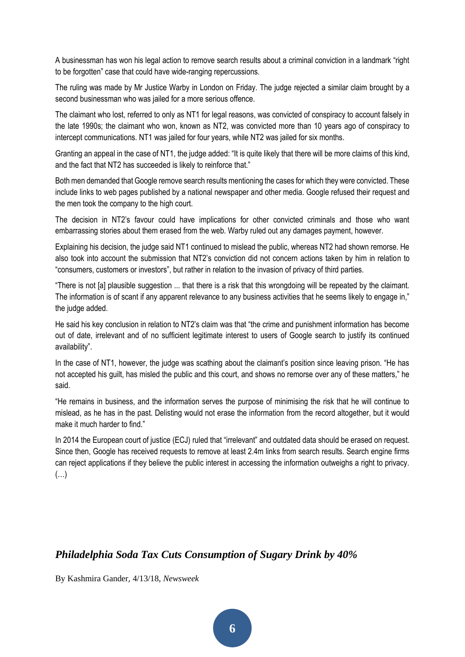A businessman has won his legal action to remove search results about a criminal conviction in a landmark "right to be forgotten" case that could have wide-ranging repercussions.

The ruling was made by Mr Justice Warby in London on Friday. The judge rejected a similar claim brought by a second businessman who was jailed for a more serious offence.

The claimant who lost, referred to only as NT1 for legal reasons, was convicted of conspiracy to account falsely in the late 1990s; the claimant who won, known as NT2, was convicted more than 10 years ago of conspiracy to intercept communications. NT1 was jailed for four years, while NT2 was jailed for six months.

Granting an appeal in the case of NT1, the judge added: "It is quite likely that there will be more claims of this kind, and the fact that NT2 has succeeded is likely to reinforce that."

Both men demanded that Google remove search results mentioning the cases for which they were convicted. These include links to web pages published by a national newspaper and other media. Google refused their request and the men took the company to the high court.

The decision in NT2's favour could have implications for other convicted criminals and those who want embarrassing stories about them erased from the web. Warby ruled out any damages payment, however.

Explaining his decision, the judge said NT1 continued to mislead the public, whereas NT2 had shown remorse. He also took into account the submission that NT2's conviction did not concern actions taken by him in relation to "consumers, customers or investors", but rather in relation to the invasion of privacy of third parties.

"There is not [a] plausible suggestion ... that there is a risk that this wrongdoing will be repeated by the claimant. The information is of scant if any apparent relevance to any business activities that he seems likely to engage in," the judge added.

He said his key conclusion in relation to NT2's claim was that "the crime and punishment information has become out of date, irrelevant and of no sufficient legitimate interest to users of Google search to justify its continued availability".

In the case of NT1, however, the judge was scathing about the claimant's position since leaving prison. "He has not accepted his guilt, has misled the public and this court, and shows no remorse over any of these matters," he said.

"He remains in business, and the information serves the purpose of minimising the risk that he will continue to mislead, as he has in the past. Delisting would not erase the information from the record altogether, but it would make it much harder to find."

In 2014 the European court of justice (ECJ) ruled that "irrelevant" and outdated data should be erased on request. Since then, Google has received requests to remove at least 2.4m links from search results. Search engine firms can reject applications if they believe the public interest in accessing the information outweighs a right to privacy. (…)

### *Philadelphia Soda Tax Cuts Consumption of Sugary Drink by 40%*

By [Kashmira Gander](http://www.newsweek.com/authors/kashmira-gander), 4/13/18, *Newsweek*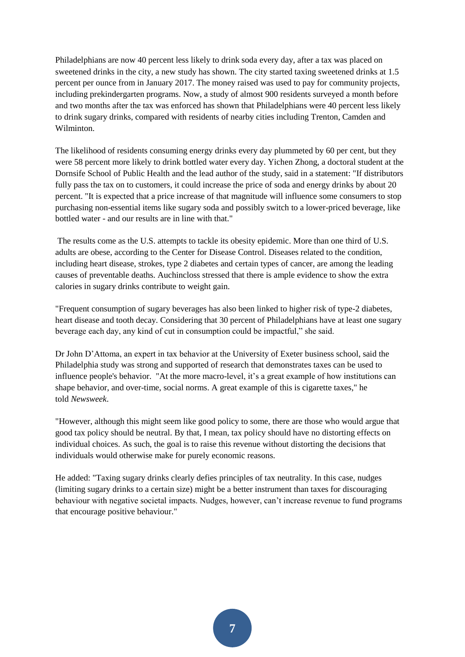Philadelphians are now 40 percent less likely to drink soda every day, after a tax was placed on sweetened drinks in the city, a new study has shown. The city started taxing sweetened drinks at 1.5 percent per ounce from in January 2017. The money raised was used to pay for community projects, including prekindergarten programs. Now, a study of almost 900 residents surveyed a month before and two months after the tax was enforced has shown that Philadelphians were 40 percent less likely to drink sugary drinks, compared with residents of nearby cities including Trenton, Camden and Wilminton.

The likelihood of residents consuming energy drinks every day plummeted by 60 per cent, but they were 58 percent more likely to drink bottled water every day. Yichen Zhong, a doctoral student at the Dornsife School of Public Health and the lead author of the [study,](http://www.ajpmonline.org/article/S0749-3797(18)31600-3/fulltext) said in a statement: "If distributors fully pass the tax on to customers, it could increase the price of soda and energy drinks by about 20 percent. "It is expected that a price increase of that magnitude will influence some consumers to stop purchasing non-essential items like sugary soda and possibly switch to a lower-priced beverage, like bottled water - and our results are in line with that."

The results come as the U.S. attempts to tackle its obesity epidemic. More than one third of U.S. adults are obese, according to the Center for Disease Control. Diseases related to the condition, including heart disease, strokes, type 2 diabetes and certain types of cancer, are among the leading causes of preventable deaths. Auchincloss stressed that there is ample evidence to show the extra calories in sugary drinks contribute to weight gain.

"Frequent consumption of sugary beverages has also been linked to higher risk of type-2 diabetes, heart disease and tooth decay. Considering that 30 percent of Philadelphians have at least one sugary beverage each day, any kind of cut in consumption could be impactful," she said.

Dr John D'Attoma, an expert in tax behavior at the University of Exeter business school, said the Philadelphia study was strong and supported of research that demonstrates taxes can be used to influence people's behavior. "At the more macro-level, it's a great example of how institutions can shape behavior, and over-time, social norms. A great example of this is cigarette taxes," he told *Newsweek*.

"However, although this might seem like good policy to some, there are those who would argue that good tax policy should be neutral. By that, I mean, tax policy should have no distorting effects on individual choices. As such, the goal is to raise this revenue without distorting the decisions that individuals would otherwise make for purely economic reasons.

He added: "Taxing sugary drinks clearly defies principles of tax neutrality. In this case, nudges (limiting sugary drinks to a certain size) might be a better instrument than taxes for discouraging behaviour with negative societal impacts. Nudges, however, can't increase revenue to fund programs that encourage positive behaviour."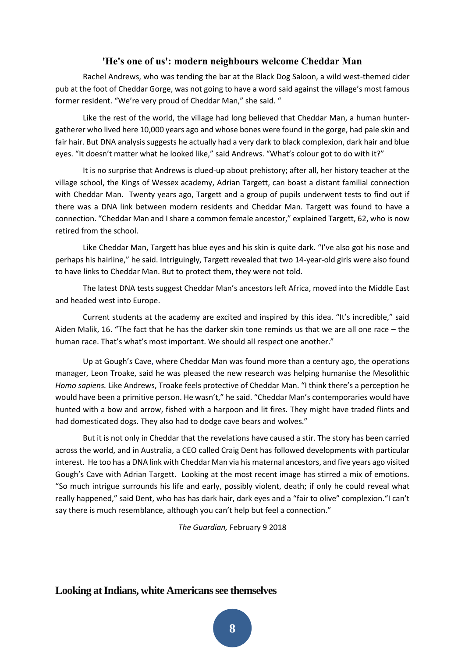#### **'He's one of us': modern neighbours welcome Cheddar Man**

Rachel Andrews, who was tending the bar at the Black Dog Saloon, a wild west-themed cider pub at the foot of Cheddar Gorge, was not going to have a word said against the village's most famous former resident. "We're very proud of Cheddar Man," she said. "

Like the rest of the world, the village had long believed that Cheddar Man, a human huntergatherer who lived here 10,000 years ago and whose bones were found in the gorge, had pale skin and fair hair. But DNA analysis suggests he actually had a ver[y dark to black](https://www.theguardian.com/science/2018/feb/07/first-modern-britons-dark-black-skin-cheddar-man-dna-analysis-reveals) complexion, dark hair and blue eyes. "It doesn't matter what he looked like," said Andrews. "What's colour got to do with it?"

It is no surprise that Andrews is clued-up about prehistory; after all, her history teacher at the village school, the [Kings of Wessex academy,](http://www.kowessex.co.uk/) Adrian Targett, can boast a distant familial connection with Cheddar Man. Twenty years ago, Targett and a group of pupils underwent tests to find out if there was a DNA link between modern residents and Cheddar Man. Targett was found to [have a](http://www.independent.co.uk/news/the-family-link-that-reaches-back-300-generations-to-a-cheddar-cave-1271542.html)  [connection.](http://www.independent.co.uk/news/the-family-link-that-reaches-back-300-generations-to-a-cheddar-cave-1271542.html) "Cheddar Man and I share a common female ancestor," explained Targett, 62, who is now retired from the school.

Like Cheddar Man, Targett has blue eyes and his skin is quite dark. "I've also got his nose and perhaps his hairline," he said. Intriguingly, Targett revealed that two 14-year-old girls were also found to have links to Cheddar Man. But to protect them, they were not told.

The [latest DNA tests](http://www.nhm.ac.uk/discover/cheddar-man-mesolithic-britain-blue-eyed-boy.html) suggest Cheddar Man's ancestors left Africa, moved into the Middle East and headed west into Europe.

Current students at the academy are excited and inspired by this idea. "It's incredible," said Aiden Malik, 16. "The fact that he has the darker skin tone reminds us that we are all one race – the human race. That's what's most important. We should all respect one another."

Up at [Gough's Cave](https://www.cheddargorge.co.uk/), where Cheddar Man was found more than a century ago, the operations manager, Leon Troake, said he was pleased the new research was helping humanise the Mesolithic *Homo sapiens.* Like Andrews, Troake feels protective of Cheddar Man. "I think there's a perception he would have been a primitive person. He wasn't," he said. "Cheddar Man's contemporaries would have hunted with a bow and arrow, fished with a harpoon and lit fires. They might have traded flints and had domesticated dogs. They also had to dodge cave bears and wolves."

But it is not only in Cheddar that the revelations have caused a stir. The story has been carried across the world, and in Australia, a CEO called [Craig Dent](https://craigdent.org/2013/05/15/authentic-leadership-starts-with-your-ancestors/) has followed developments with particular interest. He too has a DNA link with Cheddar Man via his maternal ancestors, and five years ag[o visited](http://www.thewestonmercury.co.uk/news/skeleton-descendants-reunited-in-a-cave-1-2213915)  [Gough's Cave](http://www.thewestonmercury.co.uk/news/skeleton-descendants-reunited-in-a-cave-1-2213915) with Adrian Targett. Looking at the most recent image has stirred a mix of emotions. "So much intrigue surrounds his life and early, possibly violent, death; if only he could reveal what really happened," said Dent, who has has dark hair, dark eyes and a "fair to olive" complexion."I can't say there is much resemblance, although you can't help but feel a connection."

*The Guardian,* February 9 2018

**Looking at Indians, white Americans see themselves**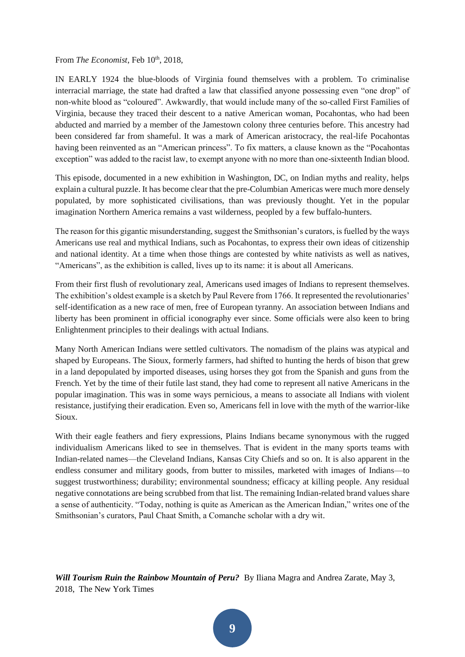From *The Economist*, Feb 10<sup>th</sup>, 2018,

IN EARLY 1924 the blue-bloods of Virginia found themselves with a problem. To criminalise interracial marriage, the state had drafted a law that classified anyone possessing even "one drop" of non-white blood as "coloured". Awkwardly, that would include many of the so-called First Families of Virginia, because they traced their descent to a native American woman, Pocahontas, who had been abducted and married by a member of the Jamestown colony three centuries before. This ancestry had been considered far from shameful. It was a mark of American aristocracy, the real-life Pocahontas having been reinvented as an "American princess". To fix matters, a clause known as the "Pocahontas exception" was added to the racist law, to exempt anyone with no more than one-sixteenth Indian blood.

This episode, documented in a new exhibition in Washington, DC, on Indian myths and reality, helps explain a cultural puzzle. It has become clear that the pre-Columbian Americas were much more densely populated, by more sophisticated civilisations, than was previously thought. Yet in the popular imagination Northern America remains a vast wilderness, peopled by a few buffalo-hunters.

The reason for this gigantic misunderstanding, suggest the Smithsonian's curators, is fuelled by the ways Americans use real and mythical Indians, such as Pocahontas, to express their own ideas of citizenship and national identity. At a time when those things are contested by white nativists as well as natives, "Americans", as the exhibition is called, lives up to its name: it is about all Americans.

From their first flush of revolutionary zeal, Americans used images of Indians to represent themselves. The exhibition's oldest example is a sketch by Paul Revere from 1766. It represented the revolutionaries' self-identification as a new race of men, free of European tyranny. An association between Indians and liberty has been prominent in official iconography ever since. Some officials were also keen to bring Enlightenment principles to their dealings with actual Indians.

Many North American Indians were settled cultivators. The nomadism of the plains was atypical and shaped by Europeans. The Sioux, formerly farmers, had shifted to hunting the herds of bison that grew in a land depopulated by imported diseases, using horses they got from the Spanish and guns from the French. Yet by the time of their futile last stand, they had come to represent all native Americans in the popular imagination. This was in some ways pernicious, a means to associate all Indians with violent resistance, justifying their eradication. Even so, Americans fell in love with the myth of the warrior-like Sioux.

With their eagle feathers and fiery expressions, Plains Indians became synonymous with the rugged individualism Americans liked to see in themselves. That is evident in the many sports teams with Indian-related names—the Cleveland Indians, Kansas City Chiefs and so on. It is also apparent in the endless consumer and military goods, from butter to missiles, marketed with images of Indians—to suggest trustworthiness; durability; environmental soundness; efficacy at killing people. Any residual negative connotations are being scrubbed from that list. The remaining Indian-related brand values share a sense of authenticity. "Today, nothing is quite as American as the American Indian," writes one of the Smithsonian's curators, Paul Chaat Smith, a Comanche scholar with a dry wit.

*Will Tourism Ruin the Rainbow Mountain of Peru?* By Iliana Magra and Andrea Zarate, May 3, 2018, The New York Times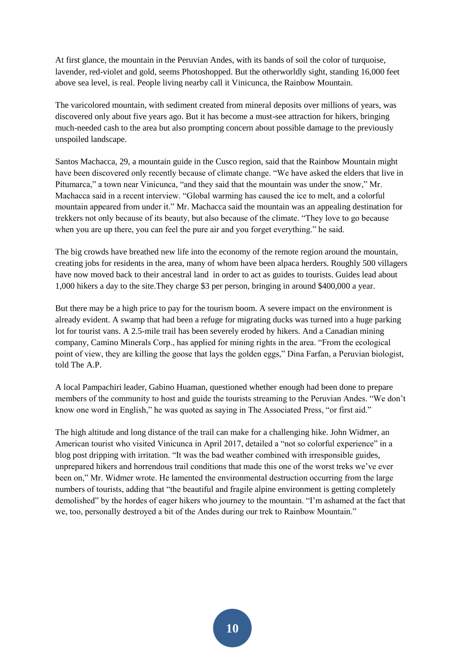At first glance, the mountain in the Peruvian Andes, with its bands of soil the color of turquoise, lavender, red-violet and gold, seems Photoshopped. But the otherworldly sight, standing 16,000 feet above sea level, is real. People living nearby call it Vinicunca, the Rainbow Mountain.

The varicolored mountain, with sediment created from mineral deposits over millions of years, was discovered only about five years ago. But it has become a must-see attraction for hikers, bringing much-needed cash to the area but also prompting concern about possible damage to the previously unspoiled landscape.

Santos Machacca, 29, a mountain guide in the Cusco region, said that the Rainbow Mountain might have been discovered only recently because of climate change. "We have asked the elders that live in Pitumarca," a town near Vinicunca, "and they said that the mountain was under the snow," Mr. Machacca said in a recent interview. "Global warming has caused the ice to melt, and a colorful mountain appeared from under it." Mr. Machacca said the mountain was an appealing destination for trekkers not only because of its beauty, but also because of the climate. "They love to go because when you are up there, you can feel the pure air and you forget everything." he said.

The big crowds have breathed new life into the economy of the remote region around the mountain, creating jobs for residents in the area, many of whom have been alpaca herders. Roughly 500 villagers have now moved back to their ancestral land in order to act as guides to tourists. Guides lead about [1,000 hikers a day to the site.](https://apnews.com/95af0757a01c4d7b9af4605b0a9e5316)They charge \$3 per person, bringing in around \$400,000 a year.

But there may be a high price to pay for the tourism boom. A severe impact on the environment is already evident. A swamp that had been a refuge for migrating ducks was turned into a huge parking lot for tourist vans. A 2.5-mile trail has been severely eroded by hikers. And a Canadian mining company, Camino Minerals Corp., has applied for mining rights in the area. "From the ecological point of view, they are killing the goose that lays the golden eggs," Dina Farfan, a Peruvian biologist, told The A.P.

A local Pampachiri leader, Gabino Huaman, questioned whether enough had been done to prepare members of the community to host and guide the tourists streaming to the Peruvian Andes. "We don't know one word in English," he was quoted as saying in The Associated Press, "or first aid."

The high altitude and long distance of the trail can make for a challenging hike. John Widmer, an American tourist who visited Vinicunca in April 2017, detailed a "not so colorful experience" in a blog post dripping with irritation. "It was the bad weather combined with irresponsible guides, unprepared hikers and horrendous trail conditions that made this one of the worst treks we've ever been on," Mr. Widmer wrote. He lamented the environmental destruction occurring from the large numbers of tourists, adding that "the beautiful and fragile alpine environment is getting completely demolished" by the hordes of eager hikers who journey to the mountain. "I'm ashamed at the fact that we, too, personally destroyed a bit of the Andes during our trek to Rainbow Mountain."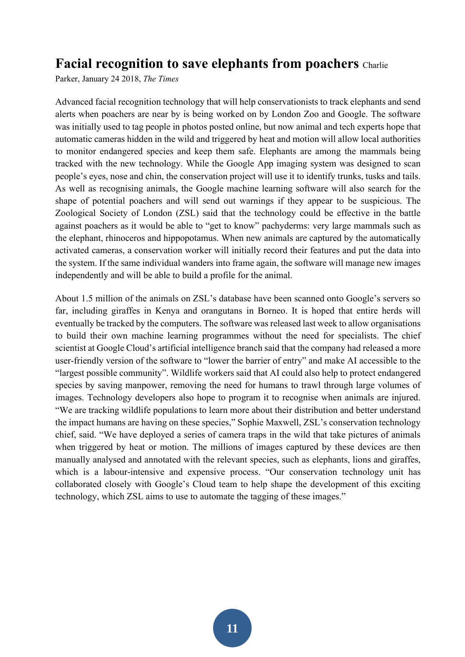## **Facial recognition to save elephants from poachers** Charlie

Parker, January 24 2018, *The Times*

Advanced facial recognition technology that will help conservationists to track elephants and send alerts when poachers are near by is being worked on by London Zoo and Google. The software was initially used to tag people in photos posted online, but now animal and tech experts hope that automatic cameras hidden in the wild and triggered by heat and motion will allow local authorities to monitor endangered species and keep them safe. Elephants are among the mammals being tracked with the new technology. While the Google App imaging system was designed to scan people's eyes, nose and chin, the conservation project will use it to identify trunks, tusks and tails. As well as recognising animals, the Google machine learning software will also search for the shape of potential poachers and will send out warnings if they appear to be suspicious. The Zoological Society of London (ZSL) said that the technology could be effective in the battle against poachers as it would be able to "get to know" pachyderms: very large mammals such as the elephant, rhinoceros and hippopotamus. When new animals are captured by the automatically activated cameras, a conservation worker will initially record their features and put the data into the system. If the same individual wanders into frame again, the software will manage new images independently and will be able to build a profile for the animal.

About 1.5 million of the animals on ZSL's database have been scanned onto Google's servers so far, including giraffes in Kenya and orangutans in Borneo. It is hoped that entire herds will eventually be tracked by the computers. The software was released last week to allow organisations to build their own machine learning programmes without the need for specialists. The chief scientist at Google Cloud's artificial intelligence branch said that the company had released a more user-friendly version of the software to "lower the barrier of entry" and make AI accessible to the "largest possible community". Wildlife workers said that AI could also help to protect endangered species by saving manpower, removing the need for humans to trawl through large volumes of images. Technology developers also hope to program it to recognise when animals are injured. "We are tracking wildlife populations to learn more about their distribution and better understand the impact humans are having on these species," Sophie Maxwell, ZSL's conservation technology chief, said. "We have deployed a series of camera traps in the wild that take pictures of animals when triggered by heat or motion. The millions of images captured by these devices are then manually analysed and annotated with the relevant species, such as elephants, lions and giraffes, which is a labour-intensive and expensive process. "Our conservation technology unit has collaborated closely with Google's Cloud team to help shape the development of this exciting technology, which ZSL aims to use to automate the tagging of these images."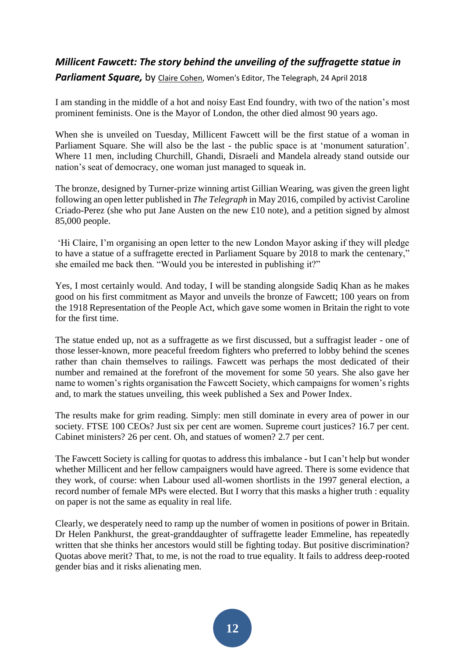### *Millicent Fawcett: The story behind the unveiling of the suffragette statue in*

**Parliament Square,** by [Claire Cohen,](https://www.telegraph.co.uk/authors/claire-cohen/) Women's Editor, The Telegraph, 24 April 2018

I am standing in the middle of a hot and noisy East End foundry, with two of the nation's most prominent feminists. One is the Mayor of London, the other died almost 90 years ago.

When she is [unveiled on Tuesday, Millicent Fawcett](https://www.telegraph.co.uk/women/politics/first-statue-woman-parliament-square-unveiled-next-week-following/) will be the first statue of a woman in Parliament Square. She will also be the last - the public space is at 'monument saturation'. Where 11 men, including Churchill, Ghandi, Disraeli and Mandela already stand outside our nation's seat of democracy, one woman just managed to squeak in.

The bronze, designed by Turner-prize winning artist Gillian Wearing, was given the green light following [an open letter](https://www.telegraph.co.uk/women/politics/emma-watson-is-calling-on-sadiq-khan-to-put-a-suffragette-outsid/) published in *The Telegraph* in May 2016, compiled by activist [Caroline](https://www.telegraph.co.uk/women/politics/put-first-statue-woman-parliament-square-shocker-middle/)  [Criado-Perez \(](https://www.telegraph.co.uk/women/politics/put-first-statue-woman-parliament-square-shocker-middle/)she who put Jane Austen on the new £10 note), and a petition signed by almost 85,000 people.

'Hi Claire, I'm organising an open letter to the new London Mayor asking if they will pledge to have a statue of a suffragette erected in Parliament Square by 2018 to mark the [centenary,](https://www.telegraph.co.uk/suffrage-centenary/)" she emailed me back then. "Would you be interested in publishing it?"

Yes, I most certainly would. And today, I will be standing alongside Sadiq Khan as he makes good on his [first commitment as Mayor a](https://www.telegraph.co.uk/women/politics/victory-telegraph-women-put-suffragist-outside-parliament/)nd unveils the bronze of Fawcett; 100 years on from the 1918 Representation of the People Act, which gave some women in Britain the right to vote for the first time.

The statue ended up, not as a [suffragette](https://www.telegraph.co.uk/women/politics/eight-things-didnt-know-suffragette-movement/) as we first discussed, but a suffragist leader - one of those lesser-known, more peaceful freedom fighters who preferred to lobby behind the scenes rather than chain themselves to railings. Fawcett was perhaps the most dedicated of their number and remained at the forefront of the movement for some 50 years. She also gave her name to women's rights organisation the Fawcett Society, which campaigns for women's rights and, to mark the statues unveiling, this week published a [Sex and Power Index.](https://www.theguardian.com/uk-news/2018/apr/23/gender-equality-quotas-fawcett-society-britain)

The results make for grim reading. Simply: men still dominate in every area of power in our society. FTSE 100 CEOs? Just six per cent are women. Supreme court justices? 16.7 per cent. Cabinet ministers? 26 per cent. Oh, and statues of women? 2.7 per cent.

The Fawcett Society is calling for quotas to address this imbalance - but I can't help but wonder whether Millicent and her fellow campaigners would have agreed. There is some evidence that they work, of course: when Labour used all-women shortlists in the 1997 general election, a record number of female MPs were elected. But I worry that this masks a higher truth : equality on paper is not the same as equality in real life.

Clearly, we desperately need to ramp up the number of women in positions of power in Britain. [Dr Helen Pankhurst,](https://www.telegraph.co.uk/women/politics/helen-pankhurst-100-years-winning-vote-women-still-want/) the great-granddaughter of suffragette leader Emmeline, has repeatedly written that she thinks her ancestors would still be fighting today. But positive discrimination? Quotas above merit? That, to me, is not the road to true equality. It fails to address deep-rooted gender bias and it risks alienating men.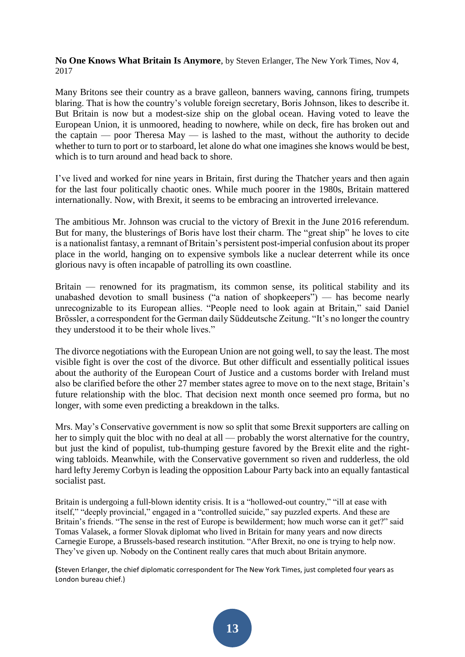**No One Knows What Britain Is Anymore**, by Steven Erlanger, The New York Times, Nov 4, 2017

Many Britons see their country as a brave galleon, banners waving, cannons firing, trumpets blaring. That is how the country's voluble foreign secretary, Boris Johnson, likes to describe it. But Britain is now but a modest-size ship on the global ocean. Having voted to leave the European Union, it is unmoored, heading to nowhere, while on deck, fire has broken out and the captain — poor Theresa May — is lashed to the mast, without the authority to decide whether to turn to port or to starboard, let alone do what one imagines she knows would be best, which is to turn around and head back to shore.

I've lived and worked for nine years in Britain, first during the Thatcher years and then again for the last four politically chaotic ones. While much poorer in the 1980s, Britain mattered internationally. Now, with Brexit, it seems to be embracing an introverted irrelevance.

The ambitious Mr. Johnson was crucial to the victory of Brexit in the June 2016 referendum. But for many, the blusterings of Boris have lost their charm. The "great ship" he loves to cite is a nationalist fantasy, a remnant of Britain's persistent post-imperial confusion about its proper place in the world, hanging on to expensive symbols like a nuclear deterrent while its once glorious navy is often incapable of patrolling its own coastline.

Britain — renowned for its pragmatism, its common sense, its political stability and its unabashed devotion to small business ("a nation of shopkeepers") — has become nearly unrecognizable to its European allies. "People need to look again at Britain," said Daniel Brössler, a correspondent for the German daily Süddeutsche Zeitung. "It's no longer the country they understood it to be their whole lives."

The divorce negotiations with the European Union are not going well, to say the least. The most visible fight is over the cost of the divorce. But other difficult and essentially political issues about the authority of the European Court of Justice and a customs border with Ireland must also be clarified before the other 27 member states agree to move on to the next stage, Britain's future relationship with the bloc. That decision next month once seemed pro forma, but no longer, with some even predicting a breakdown in the talks.

Mrs. May's Conservative government is now so split that some Brexit supporters are calling on her to simply quit the bloc with no deal at all — probably the worst alternative for the country, but just the kind of populist, tub-thumping gesture favored by the Brexit elite and the rightwing tabloids. Meanwhile, with the Conservative government so riven and rudderless, the old hard lefty Jeremy Corbyn is leading the opposition Labour Party back into an equally fantastical socialist past.

Britain is undergoing a full-blown identity crisis. It is a "hollowed-out country," "ill at ease with itself," "deeply provincial," engaged in a "controlled suicide," say puzzled experts. And these are Britain's friends. "The sense in the rest of Europe is bewilderment; how much worse can it get?" said Tomas Valasek, a former Slovak diplomat who lived in Britain for many years and now directs Carnegie Europe, a Brussels-based research institution. "After Brexit, no one is trying to help now. They've given up. Nobody on the Continent really cares that much about Britain anymore.

**(**Steven Erlanger, the chief diplomatic correspondent for The New York Times, just completed four years as London bureau chief.)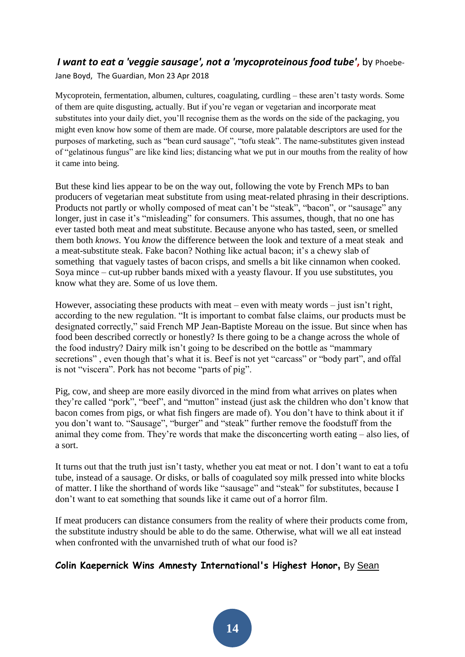### *I want to eat a 'veggie sausage', not a 'mycoproteinous food tube'***,** by [Phoebe-](https://www.theguardian.com/profile/phoebe-jane-boyd)

[Jane Boyd,](https://www.theguardian.com/profile/phoebe-jane-boyd) The Guardian, Mon 23 Apr 2018

Mycoprotein, fermentation, albumen, cultures, coagulating, curdling – these aren't tasty words. Some of them are quite disgusting, actually. But if you're vegan or vegetarian and incorporate meat substitutes into your daily diet, you'll recognise them as the words on the side of the packaging, you might even know how some of them are made. Of course, more palatable descriptors are used for the purposes of marketing, such as "bean curd sausage", "tofu steak". The name-substitutes given instead of "gelatinous fungus" are like kind lies; distancing what we put in our mouths from the reality of how it came into being.

But these kind lies appear to be on the way out, following the vote by French MPs to ban producers of vegetarian meat substitute from [using meat-related phrasing in their descriptions.](https://www.theguardian.com/lifeandstyle/2018/apr/19/france-vegetarian-foods-no-meat-words) Products not partly or wholly composed of meat can't be "steak", "bacon", or "sausage" any longer, just in case it's "misleading" for consumers. This assumes, though, that no one has ever tasted both meat and meat substitute. Because anyone who has tasted, seen, or smelled them both *knows*. You *know* the difference between the look and texture of a meat steak and a meat-substitute steak. Fake bacon? Nothing like actual bacon; it's a chewy slab of something that vaguely tastes of bacon crisps, and smells a bit like cinnamon when cooked. Soya mince – cut-up rubber bands mixed with a yeasty flavour. If you use substitutes, you know what they are. Some of us love them.

However, associating these products with meat – even with meaty words – just isn't right, according to the new regulation. "It is important to combat false claims, our products must be designated correctly," said French MP Jean-Baptiste Moreau on the issue. But since when has food been described correctly or honestly? Is there going to be a change across the whole of the food industry? Dairy milk isn't going to be described on the bottle as "mammary secretions", even though that's what it is. Beef is not yet "carcass" or "body part", and offal is not "viscera". Pork has not become "parts of pig".

Pig, cow, and sheep are more easily divorced in the mind from what arrives on plates when they're called "pork", "beef", and "mutton" instead (just ask the children [who don't know that](https://www.mirror.co.uk/news/uk-news/shocking-food-survey-reveals-fifth-5809798)  [bacon comes from pigs,](https://www.mirror.co.uk/news/uk-news/shocking-food-survey-reveals-fifth-5809798) or [what fish fingers are made of\)](http://metro.co.uk/2017/06/12/one-in-five-children-think-that-fish-fingers-are-actually-made-from-chicken-6702750/). You don't have to think about it if you don't want to. "Sausage", "burger" and "steak" further remove the foodstuff from the animal they come from. They're words that make the disconcerting worth eating – also lies, of a sort.

It turns out that the truth just isn't tasty, whether you eat meat or not. I don't want to eat a tofu tube, instead of a sausage. Or disks, or balls of coagulated soy milk pressed into white blocks of matter. I like the shorthand of words like "sausage" and "steak" for substitutes, because I don't want to eat something that sounds like it came out of a horror film.

If meat producers can distance consumers from the reality of where their products come from, the substitute industry should be able to do the same. Otherwise, what will we all eat instead when confronted with the unvarnished truth of what our food is?

### **Colin Kaepernick Wins Amnesty International's Highest Honor,** By [Sean](http://time.com/author/sean-gregory/)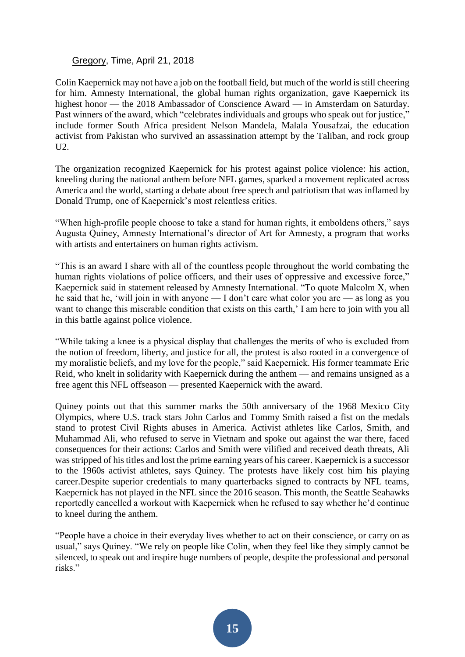### [Gregory,](http://time.com/author/sean-gregory/) Time, April 21, 2018

Colin Kaepernick may not have a job on the football field, but much of the world is still cheering for him. Amnesty International, the global human rights organization, gave Kaepernick its highest honor — the 2018 Ambassador of Conscience Award — in Amsterdam on Saturday. Past winners of the award, which ["celebrates individuals and groups who speak out for justice,](https://www.amnesty.org/en/latest/campaigns/2017/04/ambassador-of-conscience-award-2017/)" include former South Africa president Nelson Mandela, Malala Yousafzai, the education activist from Pakistan who survived an assassination attempt by the Taliban, and rock group U2.

The organization recognized Kaepernick for his protest against police violence: his action, kneeling during the national anthem before NFL games, sparked a movement replicated across America [and the world,](https://www.nytimes.com/2017/10/14/sports/soccer/german-soccer-team-kneels-in-solidarity-with-nfl-players-protests.html) starting a debate about free speech and patriotism that was [inflamed](https://www.theguardian.com/sport/2017/sep/22/donald-trump-nfl-national-anthem-protests) by Donald Trump, one of Kaepernick's most relentless critics.

"When high-profile people choose to take a stand for human rights, it emboldens others," says Augusta Quiney, Amnesty International's director of Art for Amnesty, a program that works with artists and entertainers on human rights activism.

"This is an award I share with all of the countless people throughout the world combating the human rights violations of police officers, and their uses of oppressive and excessive force," Kaepernick said in statement released by Amnesty International. "To quote Malcolm X, when he said that he, 'will join in with anyone — I don't care what color you are — as long as you want to change this miserable condition that exists on this earth,' I am here to join with you all in this battle against police violence.

"While taking a knee is a physical display that challenges the merits of who is excluded from the notion of freedom, liberty, and justice for all, the protest is also rooted in a convergence of my moralistic beliefs, and my love for the people," said Kaepernick. His former teammate Eric Reid, who knelt in solidarity with Kaepernick during the anthem — and remains unsigned as a free agent this NFL offseason — presented Kaepernick with the award.

Quiney points out that this summer marks the 50th anniversary of the 1968 Mexico City Olympics, where U.S. track stars John Carlos and Tommy Smith raised a fist on the medals stand to protest Civil Rights abuses in America. Activist athletes like Carlos, Smith, and Muhammad Ali, who refused to serve in Vietnam and spoke out against the war there, faced consequences for their actions: Carlos and Smith were vilified and received death threats, Ali was stripped of his titles and lost the prime earning years of his career. Kaepernick is a successor to the 1960s activist athletes, says Quiney. The protests have likely cost him his playing career.Despite superior credentials to many quarterbacks signed to contracts by NFL teams, Kaepernick has not played in the NFL since the 2016 season. This month, the Seattle Seahawks reportedly cancelled a workout with Kaepernick when he refused to say whether he'd continue to kneel during the anthem.

"People have a choice in their everyday lives whether to act on their conscience, or carry on as usual," says Quiney. "We rely on people like Colin, when they feel like they simply cannot be silenced, to speak out and inspire huge numbers of people, despite the professional and personal risks."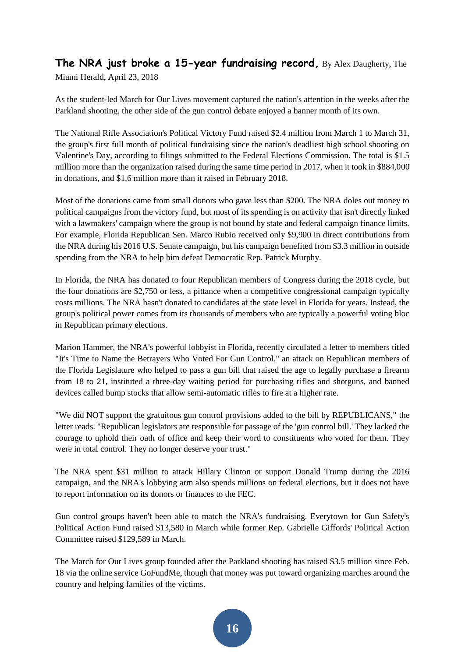# **The NRA just broke a 15-year fundraising record,** By Alex Daugherty, The

Miami Herald, April 23, 2018

As the student-led March for Our Lives movement captured the nation's attention in the weeks after the Parkland shooting, the other side of the gun control debate enjoyed a banner month of its own.

The National Rifle Association's Political Victory Fund raised \$2.4 million from March 1 to March 31, the group's first full month of political fundraising since the nation's deadliest high school shooting on Valentine's Day, [according to filings](http://docquery.fec.gov/cgi-bin/forms/C00053553/1226443/) submitted to the Federal Elections Commission. The total is \$1.5 million more than the organization raised during the same time period in 2017, when it took in \$884,000 in donations, and \$1.6 million more than it raised in February 2018.

Most of the donations came from small donors who gave less than \$200. The NRA doles out money to political campaigns from the victory fund, but most of its spending is on activity that isn't directly linked with a lawmakers' campaign where the group is not bound by state and federal campaign finance limits. For example, Florida Republican Sen. Marco Rubio received only \$9,900 in direct contributions from the NRA during his 2016 U.S. Senate campaign, but his campaign benefited from \$3.3 million in outside spending from the NRA to help him defeat Democratic Rep. Patrick Murphy.

In Florida, the NRA has donated to four Republican members of Congress during the 2018 cycle, but the four donations are \$2,750 or less, a pittance when a competitive congressional campaign typically costs millions. The NRA hasn't donated to candidates at the state level in Florida for years. Instead, the group's political power comes from its thousands of members who are typically a powerful voting bloc in Republican primary elections.

Marion Hammer, the NRA's powerful lobbyist in Florida, recently circulated a letter to members titled "It's Time to Name the Betrayers Who Voted For Gun Control," an attack on Republican members of the Florida Legislature who helped to pass a gun bill that raised the age to legally purchase a firearm from 18 to 21, instituted a three-day waiting period for purchasing rifles and shotguns, and banned devices called bump stocks that allow semi-automatic rifles to fire at a higher rate.

"We did NOT support the gratuitous gun control provisions added to the bill by REPUBLICANS," the letter reads. "Republican legislators are responsible for passage of the 'gun control bill.' They lacked the courage to uphold their oath of office and keep their word to constituents who voted for them. They were in total control. They no longer deserve your trust."

The NRA spent \$31 million to attack Hillary Clinton or support Donald Trump during the 2016 campaign, and the NRA's lobbying arm also spends millions on federal elections, but it does not have to report information on its donors or finances to the FEC.

Gun control groups haven't been able to match the NRA's fundraising. Everytown for Gun Safety's Political Action Fund raised \$13,580 in March while former Rep. Gabrielle Giffords' Political Action Committee raised \$129,589 in March.

The March for Our Lives group founded after the Parkland shooting has raised \$3.5 million since Feb. 18 via the online service GoFundMe, though that money was put toward organizing marches around the country and helping families of the victims.